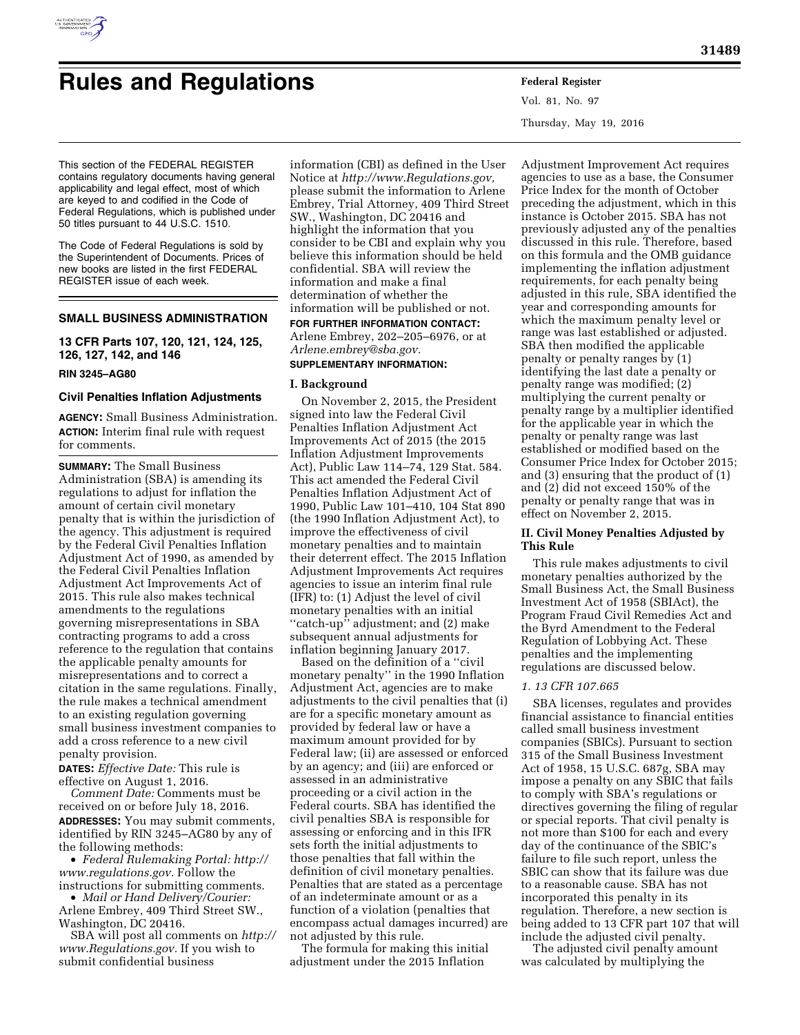

# **Rules and Regulations Federal Register**

Vol. 81, No. 97 Thursday, May 19, 2016

This section of the FEDERAL REGISTER contains regulatory documents having general applicability and legal effect, most of which are keyed to and codified in the Code of Federal Regulations, which is published under 50 titles pursuant to 44 U.S.C. 1510.

The Code of Federal Regulations is sold by the Superintendent of Documents. Prices of new books are listed in the first FEDERAL REGISTER issue of each week.

# **SMALL BUSINESS ADMINISTRATION**

**13 CFR Parts 107, 120, 121, 124, 125, 126, 127, 142, and 146** 

# **RIN 3245–AG80**

#### **Civil Penalties Inflation Adjustments**

**AGENCY:** Small Business Administration. **ACTION:** Interim final rule with request for comments.

**SUMMARY:** The Small Business Administration (SBA) is amending its regulations to adjust for inflation the amount of certain civil monetary penalty that is within the jurisdiction of the agency. This adjustment is required by the Federal Civil Penalties Inflation Adjustment Act of 1990, as amended by the Federal Civil Penalties Inflation Adjustment Act Improvements Act of 2015. This rule also makes technical amendments to the regulations governing misrepresentations in SBA contracting programs to add a cross reference to the regulation that contains the applicable penalty amounts for misrepresentations and to correct a citation in the same regulations. Finally, the rule makes a technical amendment to an existing regulation governing small business investment companies to add a cross reference to a new civil penalty provision.

**DATES:** *Effective Date:* This rule is effective on August 1, 2016.

*Comment Date:* Comments must be received on or before July 18, 2016. **ADDRESSES:** You may submit comments, identified by RIN 3245–AG80 by any of the following methods:

• *Federal Rulemaking Portal: [http://](http://www.regulations.gov) [www.regulations.gov.](http://www.regulations.gov)* Follow the instructions for submitting comments.

• *Mail or Hand Delivery/Courier:*  Arlene Embrey, 409 Third Street SW., Washington, DC 20416.

SBA will post all comments on *[http://](http://www.Regulations.gov) [www.Regulations.gov.](http://www.Regulations.gov)* If you wish to submit confidential business

information (CBI) as defined in the User Notice at *[http://www.Regulations.gov,](http://www.Regulations.gov)*  please submit the information to Arlene Embrey, Trial Attorney, 409 Third Street SW., Washington, DC 20416 and highlight the information that you consider to be CBI and explain why you believe this information should be held confidential. SBA will review the information and make a final determination of whether the information will be published or not. **FOR FURTHER INFORMATION CONTACT:** 

Arlene Embrey, 202–205–6976, or at *[Arlene.embrey@sba.gov.](mailto:Arlene.embrey@sba.gov)* 

# **SUPPLEMENTARY INFORMATION:**

#### **I. Background**

On November 2, 2015, the President signed into law the Federal Civil Penalties Inflation Adjustment Act Improvements Act of 2015 (the 2015 Inflation Adjustment Improvements Act), Public Law 114–74, 129 Stat. 584. This act amended the Federal Civil Penalties Inflation Adjustment Act of 1990, Public Law 101–410, 104 Stat 890 (the 1990 Inflation Adjustment Act), to improve the effectiveness of civil monetary penalties and to maintain their deterrent effect. The 2015 Inflation Adjustment Improvements Act requires agencies to issue an interim final rule (IFR) to: (1) Adjust the level of civil monetary penalties with an initial ''catch-up'' adjustment; and (2) make subsequent annual adjustments for inflation beginning January 2017.

Based on the definition of a ''civil monetary penalty'' in the 1990 Inflation Adjustment Act, agencies are to make adjustments to the civil penalties that (i) are for a specific monetary amount as provided by federal law or have a maximum amount provided for by Federal law; (ii) are assessed or enforced by an agency; and (iii) are enforced or assessed in an administrative proceeding or a civil action in the Federal courts. SBA has identified the civil penalties SBA is responsible for assessing or enforcing and in this IFR sets forth the initial adjustments to those penalties that fall within the definition of civil monetary penalties. Penalties that are stated as a percentage of an indeterminate amount or as a function of a violation (penalties that encompass actual damages incurred) are not adjusted by this rule.

The formula for making this initial adjustment under the 2015 Inflation

Adjustment Improvement Act requires agencies to use as a base, the Consumer Price Index for the month of October preceding the adjustment, which in this instance is October 2015. SBA has not previously adjusted any of the penalties discussed in this rule. Therefore, based on this formula and the OMB guidance implementing the inflation adjustment requirements, for each penalty being adjusted in this rule, SBA identified the year and corresponding amounts for which the maximum penalty level or range was last established or adjusted. SBA then modified the applicable penalty or penalty ranges by (1) identifying the last date a penalty or penalty range was modified; (2) multiplying the current penalty or penalty range by a multiplier identified for the applicable year in which the penalty or penalty range was last established or modified based on the Consumer Price Index for October 2015; and (3) ensuring that the product of (1) and (2) did not exceed 150% of the penalty or penalty range that was in effect on November 2, 2015.

## **II. Civil Money Penalties Adjusted by This Rule**

This rule makes adjustments to civil monetary penalties authorized by the Small Business Act, the Small Business Investment Act of 1958 (SBIAct), the Program Fraud Civil Remedies Act and the Byrd Amendment to the Federal Regulation of Lobbying Act. These penalties and the implementing regulations are discussed below.

## *1. 13 CFR 107.665*

SBA licenses, regulates and provides financial assistance to financial entities called small business investment companies (SBICs). Pursuant to section 315 of the Small Business Investment Act of 1958, 15 U.S.C. 687g, SBA may impose a penalty on any SBIC that fails to comply with SBA's regulations or directives governing the filing of regular or special reports. That civil penalty is not more than \$100 for each and every day of the continuance of the SBIC's failure to file such report, unless the SBIC can show that its failure was due to a reasonable cause. SBA has not incorporated this penalty in its regulation. Therefore, a new section is being added to 13 CFR part 107 that will include the adjusted civil penalty.

The adjusted civil penalty amount was calculated by multiplying the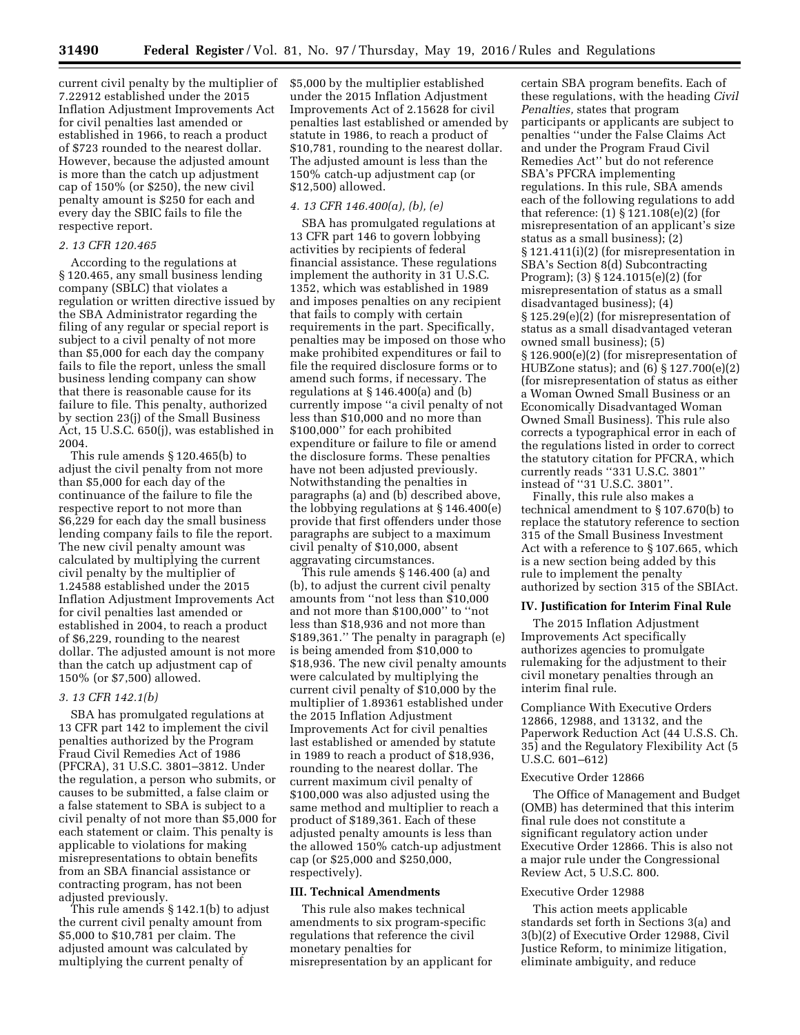current civil penalty by the multiplier of 7.22912 established under the 2015 Inflation Adjustment Improvements Act for civil penalties last amended or established in 1966, to reach a product of \$723 rounded to the nearest dollar. However, because the adjusted amount is more than the catch up adjustment cap of 150% (or \$250), the new civil penalty amount is \$250 for each and every day the SBIC fails to file the respective report.

## *2. 13 CFR 120.465*

According to the regulations at § 120.465, any small business lending company (SBLC) that violates a regulation or written directive issued by the SBA Administrator regarding the filing of any regular or special report is subject to a civil penalty of not more than \$5,000 for each day the company fails to file the report, unless the small business lending company can show that there is reasonable cause for its failure to file. This penalty, authorized by section 23(j) of the Small Business Act, 15 U.S.C. 650(j), was established in 2004.

This rule amends § 120.465(b) to adjust the civil penalty from not more than \$5,000 for each day of the continuance of the failure to file the respective report to not more than \$6,229 for each day the small business lending company fails to file the report. The new civil penalty amount was calculated by multiplying the current civil penalty by the multiplier of 1.24588 established under the 2015 Inflation Adjustment Improvements Act for civil penalties last amended or established in 2004, to reach a product of \$6,229, rounding to the nearest dollar. The adjusted amount is not more than the catch up adjustment cap of 150% (or \$7,500) allowed.

### *3. 13 CFR 142.1(b)*

SBA has promulgated regulations at 13 CFR part 142 to implement the civil penalties authorized by the Program Fraud Civil Remedies Act of 1986 (PFCRA), 31 U.S.C. 3801–3812. Under the regulation, a person who submits, or causes to be submitted, a false claim or a false statement to SBA is subject to a civil penalty of not more than \$5,000 for each statement or claim. This penalty is applicable to violations for making misrepresentations to obtain benefits from an SBA financial assistance or contracting program, has not been adjusted previously.

This rule amends § 142.1(b) to adjust the current civil penalty amount from \$5,000 to \$10,781 per claim. The adjusted amount was calculated by multiplying the current penalty of

\$5,000 by the multiplier established under the 2015 Inflation Adjustment Improvements Act of 2.15628 for civil penalties last established or amended by statute in 1986, to reach a product of \$10,781, rounding to the nearest dollar. The adjusted amount is less than the 150% catch-up adjustment cap (or \$12,500) allowed.

# *4. 13 CFR 146.400(a), (b), (e)*

SBA has promulgated regulations at 13 CFR part 146 to govern lobbying activities by recipients of federal financial assistance. These regulations implement the authority in 31 U.S.C. 1352, which was established in 1989 and imposes penalties on any recipient that fails to comply with certain requirements in the part. Specifically, penalties may be imposed on those who make prohibited expenditures or fail to file the required disclosure forms or to amend such forms, if necessary. The regulations at § 146.400(a) and (b) currently impose ''a civil penalty of not less than \$10,000 and no more than \$100,000'' for each prohibited expenditure or failure to file or amend the disclosure forms. These penalties have not been adjusted previously. Notwithstanding the penalties in paragraphs (a) and (b) described above, the lobbying regulations at § 146.400(e) provide that first offenders under those paragraphs are subject to a maximum civil penalty of \$10,000, absent aggravating circumstances.

This rule amends § 146.400 (a) and (b), to adjust the current civil penalty amounts from ''not less than \$10,000 and not more than \$100,000'' to ''not less than \$18,936 and not more than \$189,361.'' The penalty in paragraph (e) is being amended from \$10,000 to \$18,936. The new civil penalty amounts were calculated by multiplying the current civil penalty of \$10,000 by the multiplier of 1.89361 established under the 2015 Inflation Adjustment Improvements Act for civil penalties last established or amended by statute in 1989 to reach a product of \$18,936, rounding to the nearest dollar. The current maximum civil penalty of \$100,000 was also adjusted using the same method and multiplier to reach a product of \$189,361. Each of these adjusted penalty amounts is less than the allowed 150% catch-up adjustment cap (or \$25,000 and \$250,000, respectively).

## **III. Technical Amendments**

This rule also makes technical amendments to six program-specific regulations that reference the civil monetary penalties for misrepresentation by an applicant for certain SBA program benefits. Each of these regulations, with the heading *Civil Penalties,* states that program participants or applicants are subject to penalties ''under the False Claims Act and under the Program Fraud Civil Remedies Act'' but do not reference SBA's PFCRA implementing regulations. In this rule, SBA amends each of the following regulations to add that reference: (1) § 121.108(e)(2) (for misrepresentation of an applicant's size status as a small business); (2) § 121.411(i)(2) (for misrepresentation in SBA's Section 8(d) Subcontracting Program); (3) § 124.1015(e)(2) (for misrepresentation of status as a small disadvantaged business); (4) § 125.29(e)(2) (for misrepresentation of status as a small disadvantaged veteran owned small business); (5) § 126.900(e)(2) (for misrepresentation of HUBZone status); and (6) § 127.700(e)(2) (for misrepresentation of status as either a Woman Owned Small Business or an Economically Disadvantaged Woman Owned Small Business). This rule also corrects a typographical error in each of the regulations listed in order to correct the statutory citation for PFCRA, which currently reads ''331 U.S.C. 3801'' instead of ''31 U.S.C. 3801''.

Finally, this rule also makes a technical amendment to § 107.670(b) to replace the statutory reference to section 315 of the Small Business Investment Act with a reference to § 107.665, which is a new section being added by this rule to implement the penalty authorized by section 315 of the SBIAct.

#### **IV. Justification for Interim Final Rule**

The 2015 Inflation Adjustment Improvements Act specifically authorizes agencies to promulgate rulemaking for the adjustment to their civil monetary penalties through an interim final rule.

Compliance With Executive Orders 12866, 12988, and 13132, and the Paperwork Reduction Act (44 U.S.S. Ch. 35) and the Regulatory Flexibility Act (5 U.S.C. 601–612)

### Executive Order 12866

The Office of Management and Budget (OMB) has determined that this interim final rule does not constitute a significant regulatory action under Executive Order 12866. This is also not a major rule under the Congressional Review Act, 5 U.S.C. 800.

## Executive Order 12988

This action meets applicable standards set forth in Sections 3(a) and 3(b)(2) of Executive Order 12988, Civil Justice Reform, to minimize litigation, eliminate ambiguity, and reduce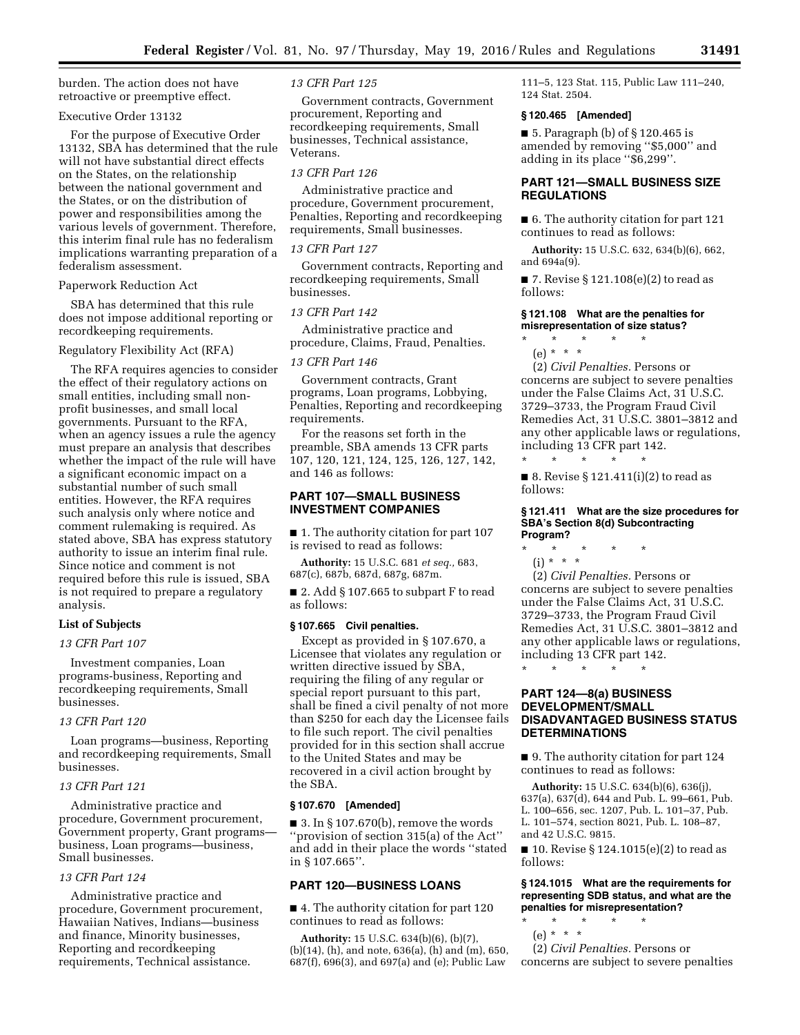burden. The action does not have retroactive or preemptive effect.

## Executive Order 13132

For the purpose of Executive Order 13132, SBA has determined that the rule will not have substantial direct effects on the States, on the relationship between the national government and the States, or on the distribution of power and responsibilities among the various levels of government. Therefore, this interim final rule has no federalism implications warranting preparation of a federalism assessment.

## Paperwork Reduction Act

SBA has determined that this rule does not impose additional reporting or recordkeeping requirements.

## Regulatory Flexibility Act (RFA)

The RFA requires agencies to consider the effect of their regulatory actions on small entities, including small nonprofit businesses, and small local governments. Pursuant to the RFA, when an agency issues a rule the agency must prepare an analysis that describes whether the impact of the rule will have a significant economic impact on a substantial number of such small entities. However, the RFA requires such analysis only where notice and comment rulemaking is required. As stated above, SBA has express statutory authority to issue an interim final rule. Since notice and comment is not required before this rule is issued, SBA is not required to prepare a regulatory analysis.

# **List of Subjects**

## *13 CFR Part 107*

Investment companies, Loan programs-business, Reporting and recordkeeping requirements, Small businesses.

## *13 CFR Part 120*

Loan programs—business, Reporting and recordkeeping requirements, Small businesses.

## *13 CFR Part 121*

Administrative practice and procedure, Government procurement, Government property, Grant programs business, Loan programs—business, Small businesses.

# *13 CFR Part 124*

Administrative practice and procedure, Government procurement, Hawaiian Natives, Indians—business and finance, Minority businesses, Reporting and recordkeeping requirements, Technical assistance.

## *13 CFR Part 125*

Government contracts, Government procurement, Reporting and recordkeeping requirements, Small businesses, Technical assistance, Veterans.

# *13 CFR Part 126*

Administrative practice and procedure, Government procurement, Penalties, Reporting and recordkeeping requirements, Small businesses.

# *13 CFR Part 127*

Government contracts, Reporting and recordkeeping requirements, Small businesses.

# *13 CFR Part 142*

Administrative practice and procedure, Claims, Fraud, Penalties.

#### *13 CFR Part 146*

Government contracts, Grant programs, Loan programs, Lobbying, Penalties, Reporting and recordkeeping requirements.

For the reasons set forth in the preamble, SBA amends 13 CFR parts 107, 120, 121, 124, 125, 126, 127, 142, and 146 as follows:

# **PART 107—SMALL BUSINESS INVESTMENT COMPANIES**

■ 1. The authority citation for part 107 is revised to read as follows:

**Authority:** 15 U.S.C. 681 *et seq.,* 683, 687(c), 687b, 687d, 687g, 687m.

■ 2. Add § 107.665 to subpart F to read as follows:

#### **§ 107.665 Civil penalties.**

Except as provided in § 107.670, a Licensee that violates any regulation or written directive issued by SBA, requiring the filing of any regular or special report pursuant to this part, shall be fined a civil penalty of not more than \$250 for each day the Licensee fails to file such report. The civil penalties provided for in this section shall accrue to the United States and may be recovered in a civil action brought by the SBA.

## **§ 107.670 [Amended]**

■ 3. In § 107.670(b), remove the words ''provision of section 315(a) of the Act'' and add in their place the words ''stated in § 107.665''.

# **PART 120—BUSINESS LOANS**

■ 4. The authority citation for part 120 continues to read as follows:

**Authority:** 15 U.S.C. 634(b)(6), (b)(7), (b)(14), (h), and note, 636(a), (h) and (m), 650, 687(f), 696(3), and 697(a) and (e); Public Law

111–5, 123 Stat. 115, Public Law 111–240, 124 Stat. 2504.

#### **§ 120.465 [Amended]**

■ 5. Paragraph (b) of § 120.465 is amended by removing ''\$5,000'' and adding in its place ''\$6,299''.

# **PART 121—SMALL BUSINESS SIZE REGULATIONS**

■ 6. The authority citation for part 121 continues to read as follows:

**Authority:** 15 U.S.C. 632, 634(b)(6), 662, and 694a(9).

■ 7. Revise § 121.108 $(e)(2)$  to read as follows:

## **§ 121.108 What are the penalties for misrepresentation of size status?**

- \* \* \* \* \* (e) \* \* \*
- (2) *Civil Penalties.* Persons or concerns are subject to severe penalties under the False Claims Act, 31 U.S.C. 3729–3733, the Program Fraud Civil Remedies Act, 31 U.S.C. 3801–3812 and any other applicable laws or regulations, including 13 CFR part 142. \* \* \* \* \*

■ 8. Revise § 121.411(i)(2) to read as follows:

#### **§ 121.411 What are the size procedures for SBA's Section 8(d) Subcontracting Program?**

\* \* \* \* \* (i) \* \* \*

(2) *Civil Penalties.* Persons or concerns are subject to severe penalties under the False Claims Act, 31 U.S.C. 3729–3733, the Program Fraud Civil Remedies Act, 31 U.S.C. 3801–3812 and any other applicable laws or regulations, including 13 CFR part 142. \* \* \* \* \*

# **PART 124—8(a) BUSINESS DEVELOPMENT/SMALL DISADVANTAGED BUSINESS STATUS DETERMINATIONS**

■ 9. The authority citation for part 124 continues to read as follows:

**Authority:** 15 U.S.C. 634(b)(6), 636(j), 637(a), 637(d), 644 and Pub. L. 99–661, Pub. L. 100–656, sec. 1207, Pub. L. 101–37, Pub. L. 101–574, section 8021, Pub. L. 108–87, and 42 U.S.C. 9815.

■ 10. Revise § 124.1015(e)(2) to read as follows:

#### **§ 124.1015 What are the requirements for representing SDB status, and what are the penalties for misrepresentation?**

- \* \* \* \* \*
	- (e) \* \* \*

(2) *Civil Penalties.* Persons or concerns are subject to severe penalties